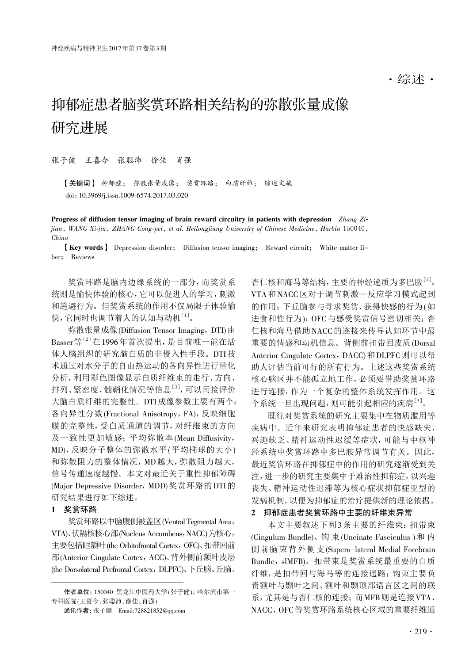## 抑郁症患者脑奖赏环路相关结构的弥散张量成像 研究进展

张子健 王喜今 张聪沛 徐佳 肖强

【关键词】 抑郁症; 弥散张量成像; 奖赏环路; 白质纤维; 综述文献 doi:10.3969/j.issn.1009-6574.2017.03.020

Progress of diffusion tensor imaging of brain reward circuitry in patients with depression Zhang Zijian, WANG Xi-jin, ZHANG Cong-pei, et al. Heilongjiang University of Chinese Medicine, Harbin 150040, China

【Key words】 Depression disorder; Diffusion tensor imaging; Reward circuit; White matter fiber; Reviews

奖赏环路是脑内边缘系统的一部分,而奖赏系 统则是愉快体验的核心,它可以促进人的学习,刺激 和趋避行为。但奖赏系统的作用不仅局限于体验愉 快,它同时也调节着人的认知与动机[1]。

弥散张量成像(Diffusion Tensor Imaging, DTI)由 Basser等<sup>[2]</sup>在1996年首次提出,是目前唯一能在活 体人脑组织的研究脑白质的非侵入性手段。DTI技 术通过对水分子的自由热运动的各向异性进行量化 分析,利用彩色图像显示白质纤维束的走行、方向、 排列、紧密度、髓鞘化情况等信息<sup>[3]</sup>,可以间接评价 大脑白质纤维的完整性。DTI成像参数主要有两个: 各向异性分数(Fractional Anisotropy,FA),反映细胞 膜的完整性,受白质通道的调节,对纤维束的方向 及一致性更加敏感;平均弥散率(Mean Diffusivity, MD),反映分子整体的弥散水平(平均椭球的大小) 和弥散阻力的整体情况,MD越大,弥散阻力越大, 信号传递速度越慢。本文对最近关于重性抑郁障碍 (Major Depressive Disorder, MDD)奖赏环路的DTI的 研究结果进行如下综述。

## 1 奖赏环路

奖赏环路以中脑腹侧被盖区(Ventral Tegmental Area, VTA)、伏隔核核心部(Nucleus Accumbens,NACC)为核心, 主要包括眶额叶(the Orbitofrontal Cortex, OFC)、扣带回前 部(Anterior Cingulate Cortex,ACC)、背外侧前额叶皮层 (the Dorsolateral Prefrontal Cortex, DLPFC)、下丘脑、丘脑、

杏仁核和海马等结构,主要的神经递质为多巴胺[4] 。 VTA和NACC区对于调节刺激—反应学习模式起到 的作用;下丘脑参与寻求奖赏、获得快感的行为(如 进食和性行为);OFC与感受奖赏信号密切相关;杏 仁核和海马借助NACC的连接来传导认知环节中最 重要的情感和动机信息。背侧前扣带回皮质(Dorsal Anterior Cingulate Cortex, DACC)和DLPFC则可以帮 助人评估当前可行的所有行为。上述这些奖赏系统 核心脑区并不能孤立地工作,必须要借助奖赏环路 进行连接,作为一个复杂的整体系统发挥作用。这 个系统一旦出现问题,则可能引起相应的疾病[5]。

既往对奖赏系统的研究主要集中在物质滥用等 疾病中。近年来研究表明抑郁症患者的快感缺失、 兴趣缺乏、精神运动性迟缓等症状,可能与中枢神 经系统中奖赏环路中多巴胺异常调节有关。因此, 最近奖赏环路在抑郁症中的作用的研究逐渐受到关 注,进一步的研究主要集中于难治性抑郁症,以兴趣 丧失、精神运动性迟滞等为核心症状抑郁症亚型的 发病机制,以便为抑郁症的治疗提供新的理论依据。

## 2 抑郁症患者奖赏环路中主要的纤维束异常

本文主要叙述下列3条主要的纤维束:扣带束 (Cingulum Bundle)、钩 束(Uncinate Fasciculus )和 内 侧前脑束背外侧支(Supero-lateral Medial Forebrain Bundle, slMFB)。扣带束是奖赏系统最重要的白质 纤维,是扣带回与海马等的连接通路;钩束主要负 责额叶与颞叶之间、额叶和颞顶部语言区之间的联 系,尤其是与杏仁核的连接;而MFB则是连接VTA、 NACC、OFC等奖赏环路系统核心区域的重要纤维通

作者单位: 150040 黑龙江中医药大学 (张子健):哈尔滨市第一 专科医院 (王喜今、张聪沛、徐佳、肖强)

通讯作者:张子健 Email:728821852@qq.com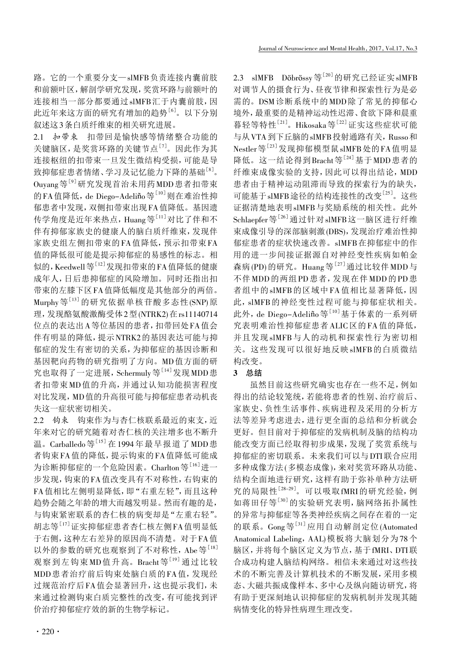路。它的一个重要分支—slMFB负责连接内囊前肢 和前额叶区,解剖学研究发现,奖赏环路与前额叶的 连接相当一部分都要通过slMFB汇于内囊前肢,因 此近年来这方面的研究有增加的趋势<sup>[6]</sup>。以下分别 叙述这3条白质纤维束的相关研究进展。

2.1 扣带束 扣带回是愉快感等情绪整合功能的 关键脑区, 是奖赏环路的关键节点<sup>[7]</sup>。因此作为其 连接枢纽的扣带束一旦发生微结构受损,可能是导 致抑郁症患者情绪、学习及记忆能力下降的基础<sup>[8]</sup>。 Ouyang等[9]研究发现首治未用药MDD患者扣带束 的FA值降低,de Diego-Adeliño等<sup>[10]</sup>则在难治性抑 郁患者中发现,双侧扣带束出现FA值降低。基因遗 传学角度是近年来热点,Huang等<sup>[11]</sup>对比了伴和不 伴有抑郁家族史的健康人的脑白质纤维束,发现伴 家族史组左侧扣带束的FA值降低,预示扣带束FA 值的降低很可能是提示抑郁症的易感性的标志。相 似的, Keedwell 等 $^{[12]}$ 发现扣带束的 FA 值降低的健康 成年人,日后患抑郁症的风险增加。同时还指出扣 带束的左膝下区FA值降低幅度是其他部分的两倍。 Murphy 等 $^{[13]}$  的研究依据单核苷酸多态性(SNP)原 理,发现酪氨酸激酶受体2型(NTRK2)在rs11140714 位点的表达出A等位基因的患者,扣带回处FA值会 伴有明显的降低,提示NTRK2的基因表达可能与抑 郁症的发生有密切的关系,为抑郁症的基因诊断和 基因靶向药物的研究指明了方向。MD值方面的研 究也取得了一定进展, Schermuly等<sup>[14]</sup>发现MDD患 者扣带束MD值的升高,并通过认知功能损害程度 对比发现,MD值的升高很可能与抑郁症患者动机丧 失这一症状密切相关。

2.2 钩束 钩束作为与杏仁核联系最近的束支,近 年来对它的研究随着对杏仁核的关注增多也不断升 溫。Carballedo等<sup>[15]</sup> 在 1994年最早报道了MDD患 者钩束FA值的降低,提示钩束的FA值降低可能成 为诊断抑郁症的一个危险因素。Charlton等<sup>[16]</sup>进一 步发现,钩束的FA值改变具有不对称性,右钩束的 FA值相比左侧明显降低,即"右重左轻",而且这种 趋势会随之年龄的增大而越发明显。然而有趣的是, 与钩束紧密联系的杏仁核的病变却是"左重右轻"。 胡志等<sup>[17]</sup>证实抑郁症患者杏仁核左侧FA值明显低 于右侧,这种左右差异的原因尚不清楚。对于FA值 以外的参数的研究也观察到了不对称性, Abe等[18] 观察到左钩束MD值升高。Bracht等[19]通过比较 MDD患者治疗前后钩束处脑白质的FA值,发现经 过规范治疗后FA值会显著回升,这也提示我们,未 来通过检测钩束白质完整性的改变,有可能找到评 价治疗抑郁症疗效的新的生物学标记。

2.3 slMFB Döbrössy等<sup>[20]</sup>的研究已经证实slMFB 对调节人的摄食行为、昼夜节律和探索性行为是必 需的。DSM诊断系统中的MDD除了常见的抑郁心 境外,最重要的是精神运动性迟滞、食欲下降和晨重 暮轻等特性<sup>[21]</sup>。Hikosaka等<sup>[22]</sup>证实这些症状可能 与从VTA到下丘脑的slMFB投射通路有关,Russo和 Nestler等[23] 发现抑郁模型鼠slMFB处的FA值明显 降低。这一结论得到Bracht等[24]基于MDD患者的 纤维束成像实验的支持,因此可以得出结论,MDD 患者由于精神运动阻滞而导致的探索行为的缺失, 可能基于slMFB途径的结构连接性的改变[25] 。这些 证据清楚地表明slMFB与奖励系统的相关性。此外 Schlaepfer等<sup>[26]</sup>通过针对slMFB这一脑区进行纤维 束成像引导的深部脑刺激(DBS),发现治疗难治性抑 郁症患者的症状快速改善。slMFB在抑郁症中的作 用的进一步间接证据源自对神经变性疾病如帕金 森病(PD)的研究。Huang等<sup>[27]</sup>通过比较伴MDD与 不伴 MDD 的两组 PD 患者,发现在伴 MDD 的 PD 患 者组中的slMFB的区域中FA值相比显著降低,因 此,slMFB的神经变性过程可能与抑郁症状相关。 此外, de Diego-Adeliño等<sup>[10]</sup>基于体素的一系列研 究表明难治性抑郁症患者ALIC区的FA值的降低, 并且发现slMFB与人的动机和探索性行为密切相 关。这些发现可以很好地反映slMFB的白质微结 构改变。

## 3 总结

虽然目前这些研究确实也存在一些不足,例如 得出的结论较笼统,若能将患者的性别、治疗前后、 家族史、负性生活事件、疾病进程及采用的分析方 法等差异考虑进去,进行更全面的总结和分析就会 更好。但目前对于抑郁症的发病机制及脑的结构功 能改变方面已经取得初步成果,发现了奖赏系统与 抑郁症的密切联系。未来我们可以与DTI联合应用 多种成像方法(多模态成像),来对奖赏环路从功能、 结构全面地进行研究,这样有助于弥补单种方法研 究的局限性[28-29]。可以吸取fMRI的研究经验,例 如蒋田仔等[30]的实验研究表明,脑网络拓扑属性 的异常与抑郁症等各类神经疾病之间存在着的一定 的联系。Gong等[31]应用自动解剖定位(Automated Anatomical Labeling, AAL)模板将大脑划分为78个 脑区,并将每个脑区定义为节点,基于fMRI、DTI联 合成功构建人脑结构网络。相信未来通过对这些技 术的不断完善及计算机技术的不断发展,采用多模 态、大磁共振成像样本、多中心及纵向随访研究,将 有助于更深刻地认识抑郁症的发病机制并发现其随 病情变化的特异性病理生理改变。